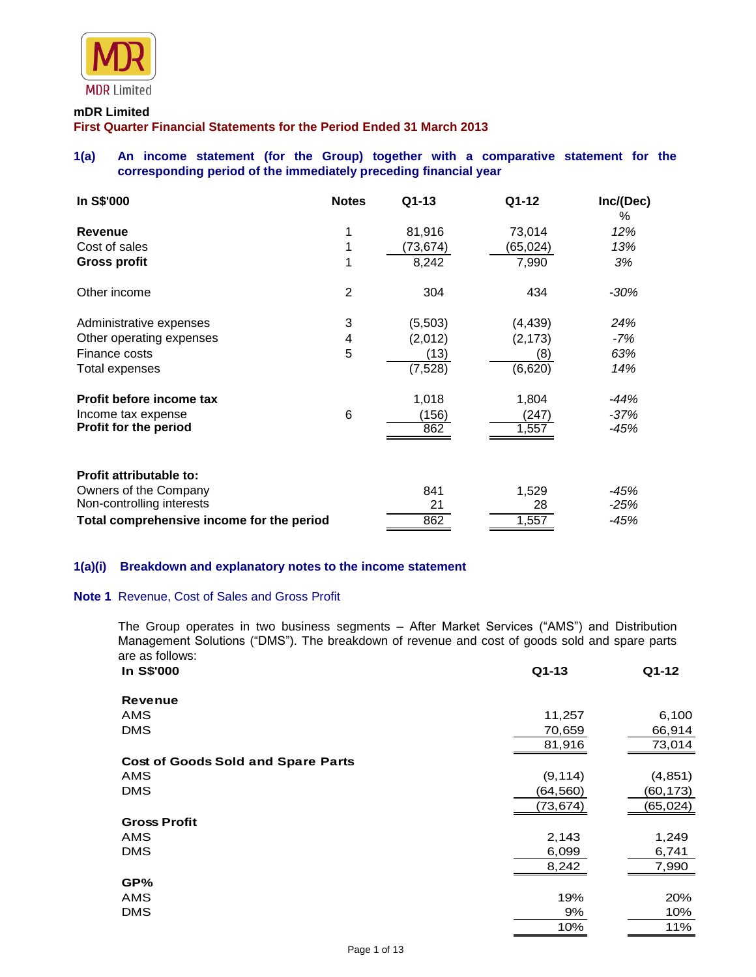

#### **mDR Limited**

**First Quarter Financial Statements for the Period Ended 31 March 2013**

# **1(a) An income statement (for the Group) together with a comparative statement for the corresponding period of the immediately preceding financial year**

| In S\$'000                                | <b>Notes</b>   | Q1-13     | Q1-12    | Inc/(Dec)<br>% |
|-------------------------------------------|----------------|-----------|----------|----------------|
| Revenue                                   |                | 81,916    | 73,014   | 12%            |
| Cost of sales                             |                | (73, 674) | (65,024) | 13%            |
| <b>Gross profit</b>                       |                | 8,242     | 7,990    | 3%             |
| Other income                              | $\overline{2}$ | 304       | 434      | $-30\%$        |
| Administrative expenses                   | 3              | (5,503)   | (4, 439) | 24%            |
| Other operating expenses                  | 4              | (2,012)   | (2, 173) | -7%            |
| Finance costs                             | 5              | (13)      | (8)      | 63%            |
| Total expenses                            |                | (7, 528)  | (6,620)  | 14%            |
| Profit before income tax                  |                | 1,018     | 1,804    | -44%           |
| Income tax expense                        | 6              | (156)     | (247)    | -37%           |
| Profit for the period                     |                | 862       | 1,557    | $-45%$         |
| <b>Profit attributable to:</b>            |                |           |          |                |
| Owners of the Company                     |                | 841       | 1,529    | $-45%$         |
| Non-controlling interests                 |                | 21        | 28       | $-25%$         |
| Total comprehensive income for the period |                | 862       | 1,557    | $-45%$         |

### **1(a)(i) Breakdown and explanatory notes to the income statement**

# **Note 1** Revenue, Cost of Sales and Gross Profit

The Group operates in two business segments – After Market Services ("AMS") and Distribution Management Solutions ("DMS"). The breakdown of revenue and cost of goods sold and spare parts are as follows:<br>In S\$'000

| In S\$'000                                | $Q1-13$   | Q1-12     |
|-------------------------------------------|-----------|-----------|
| <b>Revenue</b>                            |           |           |
| AMS                                       | 11,257    | 6,100     |
| <b>DMS</b>                                | 70,659    | 66,914    |
|                                           | 81,916    | 73,014    |
| <b>Cost of Goods Sold and Spare Parts</b> |           |           |
| AMS                                       | (9, 114)  | (4, 851)  |
| <b>DMS</b>                                | (64,560)  | (60,173)  |
|                                           | (73, 674) | (65, 024) |
| <b>Gross Profit</b>                       |           |           |
| <b>AMS</b>                                | 2,143     | 1,249     |
| <b>DMS</b>                                | 6,099     | 6,741     |
|                                           | 8,242     | 7,990     |
| GP%                                       |           |           |
| AMS                                       | 19%       | 20%       |
| <b>DMS</b>                                | 9%        | 10%       |
|                                           | 10%       | 11%       |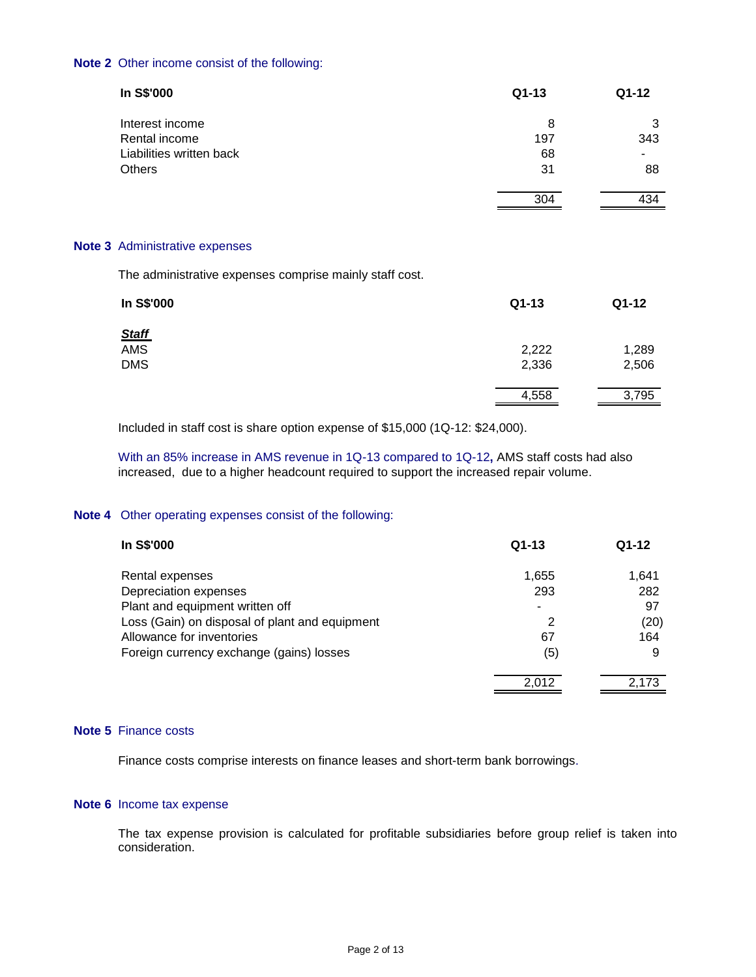### **Note 2** Other income consist of the following:

| In S\$'000               | $Q1-13$ | Q1-12 |
|--------------------------|---------|-------|
| Interest income          | 8       | 3     |
| Rental income            | 197     | 343   |
| Liabilities written back | 68      |       |
| Others                   | 31      | 88    |
|                          | 304     | 434   |

#### **Note 3** Administrative expenses

The administrative expenses comprise mainly staff cost.

| In S\$'000   | $Q1-13$ | Q1-12 |
|--------------|---------|-------|
| <u>Staff</u> |         |       |
| AMS          | 2,222   | 1,289 |
| <b>DMS</b>   | 2,336   | 2,506 |
|              | 4,558   | 3,795 |
|              |         |       |

Included in staff cost is share option expense of \$15,000 (1Q-12: \$24,000).

With an 85% increase in AMS revenue in 1Q-13 compared to 1Q-12**,** AMS staff costs had also increased, due to a higher headcount required to support the increased repair volume.

# **Note 4** Other operating expenses consist of the following:

| In S\$'000                                     | $Q1-13$ | $Q1-12$ |
|------------------------------------------------|---------|---------|
| Rental expenses                                | 1,655   | 1,641   |
| Depreciation expenses                          | 293     | 282     |
| Plant and equipment written off                |         | 97      |
| Loss (Gain) on disposal of plant and equipment | 2       | (20)    |
| Allowance for inventories                      | 67      | 164     |
| Foreign currency exchange (gains) losses       | (5)     | 9       |
|                                                | 2.012   | 2.173   |

# **Note 5** Finance costs

Finance costs comprise interests on finance leases and short-term bank borrowings.

### **Note 6** Income tax expense

The tax expense provision is calculated for profitable subsidiaries before group relief is taken into consideration.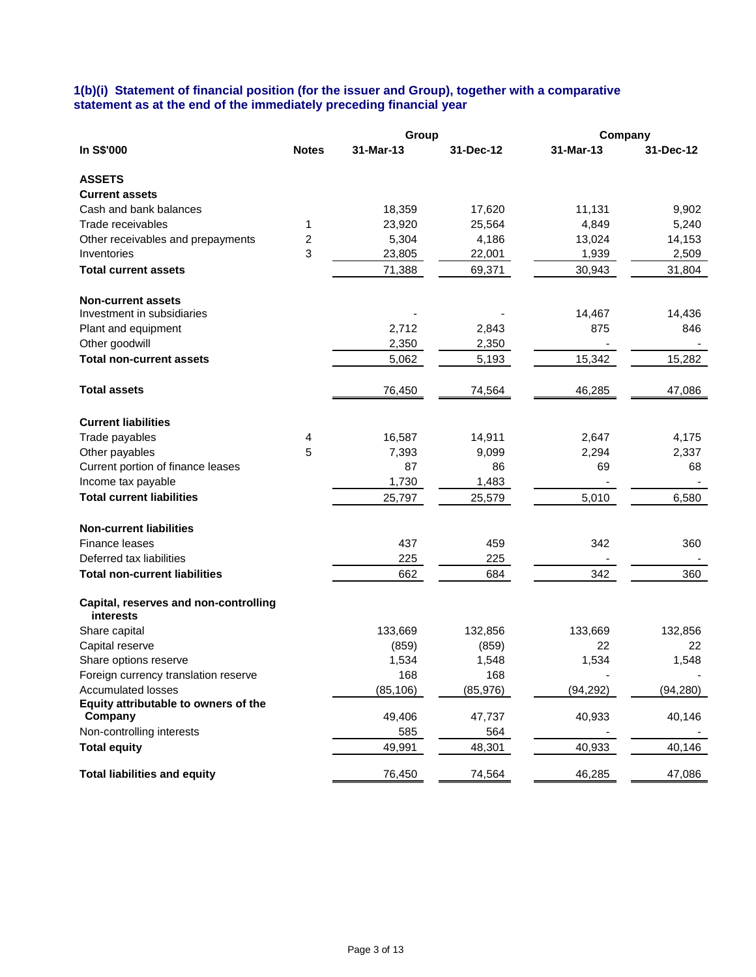## **1(b)(i) Statement of financial position (for the issuer and Group), together with a comparative statement as at the end of the immediately preceding financial year**

|                                                    |              | Group     |           | Company   |           |
|----------------------------------------------------|--------------|-----------|-----------|-----------|-----------|
| In S\$'000                                         | <b>Notes</b> | 31-Mar-13 | 31-Dec-12 | 31-Mar-13 | 31-Dec-12 |
| <b>ASSETS</b>                                      |              |           |           |           |           |
| <b>Current assets</b>                              |              |           |           |           |           |
| Cash and bank balances                             |              | 18,359    | 17,620    | 11,131    | 9,902     |
| Trade receivables                                  | 1            | 23,920    | 25,564    | 4,849     | 5,240     |
| Other receivables and prepayments                  | 2            | 5,304     | 4,186     | 13,024    | 14,153    |
| Inventories                                        | 3            | 23,805    | 22,001    | 1,939     | 2,509     |
| <b>Total current assets</b>                        |              | 71,388    | 69,371    | 30,943    | 31,804    |
| <b>Non-current assets</b>                          |              |           |           |           |           |
| Investment in subsidiaries                         |              |           |           | 14,467    | 14,436    |
| Plant and equipment                                |              | 2,712     | 2,843     | 875       | 846       |
| Other goodwill                                     |              | 2,350     | 2,350     |           |           |
| <b>Total non-current assets</b>                    |              | 5,062     | 5,193     | 15,342    | 15,282    |
| <b>Total assets</b>                                |              | 76,450    | 74,564    | 46,285    | 47,086    |
| <b>Current liabilities</b>                         |              |           |           |           |           |
| Trade payables                                     | 4            | 16,587    | 14,911    | 2,647     | 4,175     |
| Other payables                                     | 5            | 7,393     | 9,099     | 2,294     | 2,337     |
| Current portion of finance leases                  |              | 87        | 86        | 69        | 68        |
| Income tax payable                                 |              | 1,730     | 1,483     |           |           |
| <b>Total current liabilities</b>                   |              | 25,797    | 25,579    | 5,010     | 6,580     |
| <b>Non-current liabilities</b>                     |              |           |           |           |           |
| Finance leases                                     |              | 437       | 459       | 342       | 360       |
| Deferred tax liabilities                           |              | 225       | 225       |           |           |
| <b>Total non-current liabilities</b>               |              | 662       | 684       | 342       | 360       |
| Capital, reserves and non-controlling<br>interests |              |           |           |           |           |
| Share capital                                      |              | 133,669   | 132,856   | 133,669   | 132,856   |
| Capital reserve                                    |              | (859)     | (859)     | 22        | 22        |
| Share options reserve                              |              | 1,534     | 1,548     | 1,534     | 1,548     |
| Foreign currency translation reserve               |              | 168       | 168       |           |           |
| <b>Accumulated losses</b>                          |              | (85, 106) | (85, 976) | (94, 292) | (94, 280) |
| Equity attributable to owners of the<br>Company    |              | 49,406    | 47,737    | 40,933    | 40,146    |
| Non-controlling interests                          |              | 585       | 564       |           |           |
| <b>Total equity</b>                                |              | 49,991    | 48,301    | 40,933    | 40,146    |
| <b>Total liabilities and equity</b>                |              | 76,450    | 74,564    | 46,285    | 47,086    |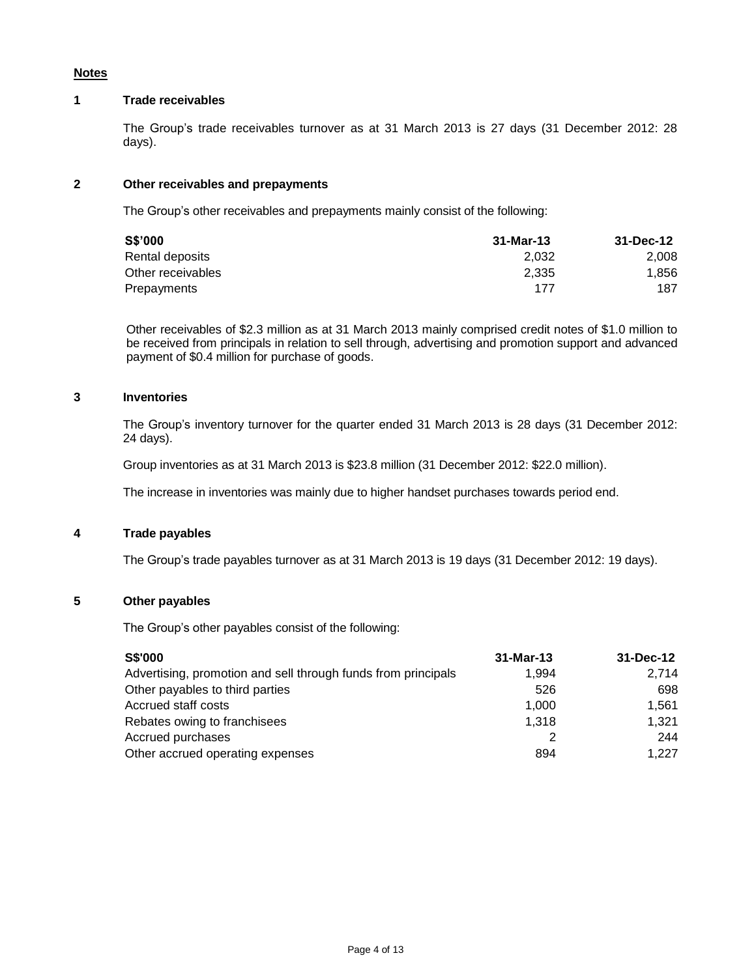### **Notes**

# **1 Trade receivables**

The Group's trade receivables turnover as at 31 March 2013 is 27 days (31 December 2012: 28 days).

# **2 Other receivables and prepayments**

The Group's other receivables and prepayments mainly consist of the following:

| S\$'000           | 31-Mar-13 | 31-Dec-12 |
|-------------------|-----------|-----------|
| Rental deposits   | 2.032     | 2,008     |
| Other receivables | 2.335     | 1.856     |
| Prepayments       | 177       | 187       |

Other receivables of \$2.3 million as at 31 March 2013 mainly comprised credit notes of \$1.0 million to be received from principals in relation to sell through, advertising and promotion support and advanced payment of \$0.4 million for purchase of goods.

# **3 Inventories**

The Group's inventory turnover for the quarter ended 31 March 2013 is 28 days (31 December 2012: 24 days).

Group inventories as at 31 March 2013 is \$23.8 million (31 December 2012: \$22.0 million).

The increase in inventories was mainly due to higher handset purchases towards period end.

# **4 Trade payables**

The Group's trade payables turnover as at 31 March 2013 is 19 days (31 December 2012: 19 days).

### **5 Other payables**

The Group's other payables consist of the following:

| <b>S\$'000</b>                                                | $31-Mar-13$ | $31 - Dec-12$ |
|---------------------------------------------------------------|-------------|---------------|
| Advertising, promotion and sell through funds from principals | 1.994       | 2.714         |
| Other payables to third parties                               | 526         | 698           |
| Accrued staff costs                                           | 1.000       | 1.561         |
| Rebates owing to franchisees                                  | 1.318       | 1,321         |
| Accrued purchases                                             |             | 244           |
| Other accrued operating expenses                              | 894         | 1.227         |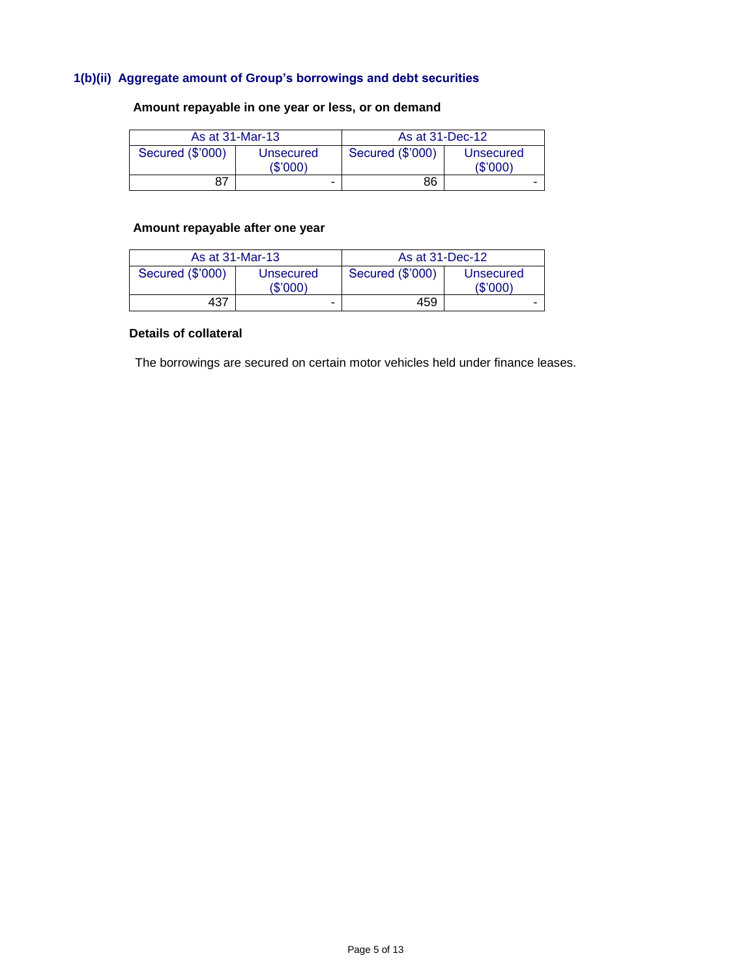# **1(b)(ii) Aggregate amount of Group's borrowings and debt securities**

# **Amount repayable in one year or less, or on demand**

|                  | As at 31-Mar-13       | As at 31-Dec-12  |                      |
|------------------|-----------------------|------------------|----------------------|
| Secured (\$'000) | Unsecured<br>(\$'000) | Secured (\$'000) | Unsecured<br>(S'000) |
| 87               | ۰                     | 86               | -                    |

# **Amount repayable after one year**

|                  | As at 31-Mar-13      | As at 31-Dec-12  |                      |
|------------------|----------------------|------------------|----------------------|
| Secured (\$'000) | Unsecured<br>(S'000) | Secured (\$'000) | Unsecured<br>(S'000) |
| 437              | -                    | 459              |                      |

# **Details of collateral**

The borrowings are secured on certain motor vehicles held under finance leases.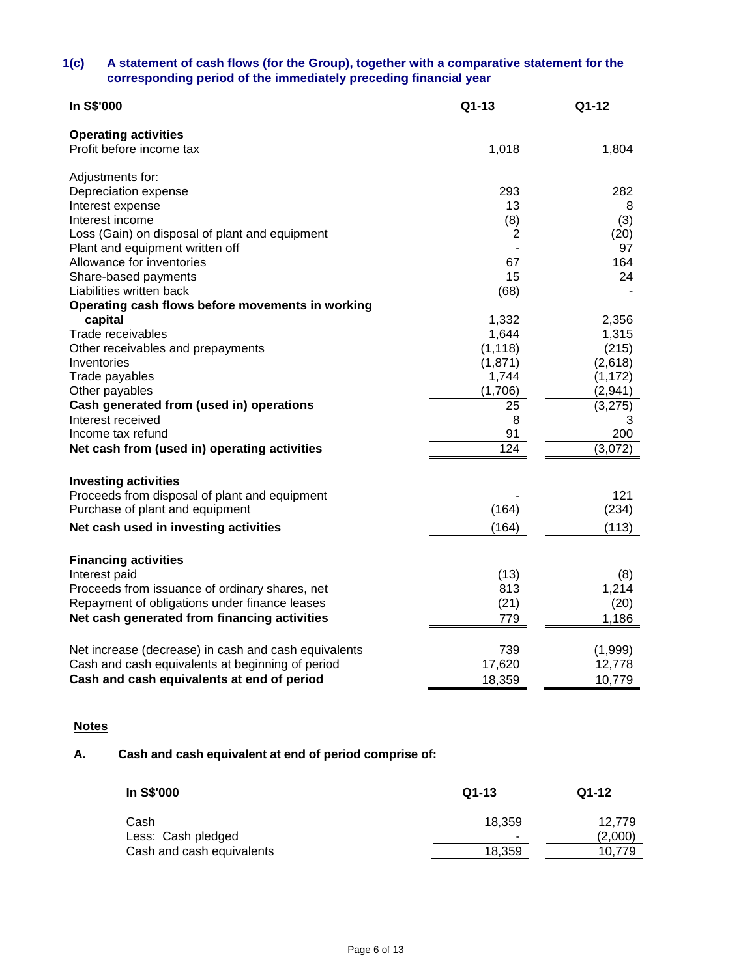# **1(c) A statement of cash flows (for the Group), together with a comparative statement for the corresponding period of the immediately preceding financial year**

| <b>Operating activities</b><br>Profit before income tax<br>1,018<br>1,804<br>Adjustments for:<br>293<br>282<br>Depreciation expense<br>13<br>Interest expense<br>8<br>Interest income<br>(8)<br>(3)<br>Loss (Gain) on disposal of plant and equipment<br>(20)<br>2<br>97<br>Plant and equipment written off<br>Allowance for inventories<br>164<br>67<br>24<br>Share-based payments<br>15<br>Liabilities written back<br>(68)<br>Operating cash flows before movements in working<br>capital<br>1,332<br>2,356<br>Trade receivables<br>1,644<br>1,315<br>Other receivables and prepayments<br>(1, 118)<br>(215)<br>(1,871)<br>(2,618)<br>Inventories<br>Trade payables<br>1,744<br>(1, 172)<br>(1,706)<br>(2,941)<br>Other payables<br>Cash generated from (used in) operations<br>25<br>(3,275)<br>Interest received<br>8<br>3<br>200<br>Income tax refund<br>91<br>124<br>Net cash from (used in) operating activities<br>(3,072)<br><b>Investing activities</b><br>Proceeds from disposal of plant and equipment<br>121<br>(164)<br>(234)<br>Purchase of plant and equipment<br>(113)<br>Net cash used in investing activities<br>(164)<br><b>Financing activities</b><br>Interest paid<br>(13)<br>(8)<br>1,214<br>Proceeds from issuance of ordinary shares, net<br>813<br>Repayment of obligations under finance leases<br>(21)<br>(20)<br>Net cash generated from financing activities<br>1,186<br>779<br>(1,999)<br>Net increase (decrease) in cash and cash equivalents<br>739<br>Cash and cash equivalents at beginning of period<br>17,620<br>12,778<br>Cash and cash equivalents at end of period<br>18,359<br>10,779 | In S\$'000 | Q1-13 | Q1-12 |
|----------------------------------------------------------------------------------------------------------------------------------------------------------------------------------------------------------------------------------------------------------------------------------------------------------------------------------------------------------------------------------------------------------------------------------------------------------------------------------------------------------------------------------------------------------------------------------------------------------------------------------------------------------------------------------------------------------------------------------------------------------------------------------------------------------------------------------------------------------------------------------------------------------------------------------------------------------------------------------------------------------------------------------------------------------------------------------------------------------------------------------------------------------------------------------------------------------------------------------------------------------------------------------------------------------------------------------------------------------------------------------------------------------------------------------------------------------------------------------------------------------------------------------------------------------------------------------------------------------------------------------|------------|-------|-------|
|                                                                                                                                                                                                                                                                                                                                                                                                                                                                                                                                                                                                                                                                                                                                                                                                                                                                                                                                                                                                                                                                                                                                                                                                                                                                                                                                                                                                                                                                                                                                                                                                                                  |            |       |       |
|                                                                                                                                                                                                                                                                                                                                                                                                                                                                                                                                                                                                                                                                                                                                                                                                                                                                                                                                                                                                                                                                                                                                                                                                                                                                                                                                                                                                                                                                                                                                                                                                                                  |            |       |       |
|                                                                                                                                                                                                                                                                                                                                                                                                                                                                                                                                                                                                                                                                                                                                                                                                                                                                                                                                                                                                                                                                                                                                                                                                                                                                                                                                                                                                                                                                                                                                                                                                                                  |            |       |       |
|                                                                                                                                                                                                                                                                                                                                                                                                                                                                                                                                                                                                                                                                                                                                                                                                                                                                                                                                                                                                                                                                                                                                                                                                                                                                                                                                                                                                                                                                                                                                                                                                                                  |            |       |       |
|                                                                                                                                                                                                                                                                                                                                                                                                                                                                                                                                                                                                                                                                                                                                                                                                                                                                                                                                                                                                                                                                                                                                                                                                                                                                                                                                                                                                                                                                                                                                                                                                                                  |            |       |       |
|                                                                                                                                                                                                                                                                                                                                                                                                                                                                                                                                                                                                                                                                                                                                                                                                                                                                                                                                                                                                                                                                                                                                                                                                                                                                                                                                                                                                                                                                                                                                                                                                                                  |            |       |       |
|                                                                                                                                                                                                                                                                                                                                                                                                                                                                                                                                                                                                                                                                                                                                                                                                                                                                                                                                                                                                                                                                                                                                                                                                                                                                                                                                                                                                                                                                                                                                                                                                                                  |            |       |       |
|                                                                                                                                                                                                                                                                                                                                                                                                                                                                                                                                                                                                                                                                                                                                                                                                                                                                                                                                                                                                                                                                                                                                                                                                                                                                                                                                                                                                                                                                                                                                                                                                                                  |            |       |       |
|                                                                                                                                                                                                                                                                                                                                                                                                                                                                                                                                                                                                                                                                                                                                                                                                                                                                                                                                                                                                                                                                                                                                                                                                                                                                                                                                                                                                                                                                                                                                                                                                                                  |            |       |       |
|                                                                                                                                                                                                                                                                                                                                                                                                                                                                                                                                                                                                                                                                                                                                                                                                                                                                                                                                                                                                                                                                                                                                                                                                                                                                                                                                                                                                                                                                                                                                                                                                                                  |            |       |       |
|                                                                                                                                                                                                                                                                                                                                                                                                                                                                                                                                                                                                                                                                                                                                                                                                                                                                                                                                                                                                                                                                                                                                                                                                                                                                                                                                                                                                                                                                                                                                                                                                                                  |            |       |       |
|                                                                                                                                                                                                                                                                                                                                                                                                                                                                                                                                                                                                                                                                                                                                                                                                                                                                                                                                                                                                                                                                                                                                                                                                                                                                                                                                                                                                                                                                                                                                                                                                                                  |            |       |       |
|                                                                                                                                                                                                                                                                                                                                                                                                                                                                                                                                                                                                                                                                                                                                                                                                                                                                                                                                                                                                                                                                                                                                                                                                                                                                                                                                                                                                                                                                                                                                                                                                                                  |            |       |       |
|                                                                                                                                                                                                                                                                                                                                                                                                                                                                                                                                                                                                                                                                                                                                                                                                                                                                                                                                                                                                                                                                                                                                                                                                                                                                                                                                                                                                                                                                                                                                                                                                                                  |            |       |       |
|                                                                                                                                                                                                                                                                                                                                                                                                                                                                                                                                                                                                                                                                                                                                                                                                                                                                                                                                                                                                                                                                                                                                                                                                                                                                                                                                                                                                                                                                                                                                                                                                                                  |            |       |       |
|                                                                                                                                                                                                                                                                                                                                                                                                                                                                                                                                                                                                                                                                                                                                                                                                                                                                                                                                                                                                                                                                                                                                                                                                                                                                                                                                                                                                                                                                                                                                                                                                                                  |            |       |       |
|                                                                                                                                                                                                                                                                                                                                                                                                                                                                                                                                                                                                                                                                                                                                                                                                                                                                                                                                                                                                                                                                                                                                                                                                                                                                                                                                                                                                                                                                                                                                                                                                                                  |            |       |       |
|                                                                                                                                                                                                                                                                                                                                                                                                                                                                                                                                                                                                                                                                                                                                                                                                                                                                                                                                                                                                                                                                                                                                                                                                                                                                                                                                                                                                                                                                                                                                                                                                                                  |            |       |       |
|                                                                                                                                                                                                                                                                                                                                                                                                                                                                                                                                                                                                                                                                                                                                                                                                                                                                                                                                                                                                                                                                                                                                                                                                                                                                                                                                                                                                                                                                                                                                                                                                                                  |            |       |       |
|                                                                                                                                                                                                                                                                                                                                                                                                                                                                                                                                                                                                                                                                                                                                                                                                                                                                                                                                                                                                                                                                                                                                                                                                                                                                                                                                                                                                                                                                                                                                                                                                                                  |            |       |       |
|                                                                                                                                                                                                                                                                                                                                                                                                                                                                                                                                                                                                                                                                                                                                                                                                                                                                                                                                                                                                                                                                                                                                                                                                                                                                                                                                                                                                                                                                                                                                                                                                                                  |            |       |       |
|                                                                                                                                                                                                                                                                                                                                                                                                                                                                                                                                                                                                                                                                                                                                                                                                                                                                                                                                                                                                                                                                                                                                                                                                                                                                                                                                                                                                                                                                                                                                                                                                                                  |            |       |       |
|                                                                                                                                                                                                                                                                                                                                                                                                                                                                                                                                                                                                                                                                                                                                                                                                                                                                                                                                                                                                                                                                                                                                                                                                                                                                                                                                                                                                                                                                                                                                                                                                                                  |            |       |       |
|                                                                                                                                                                                                                                                                                                                                                                                                                                                                                                                                                                                                                                                                                                                                                                                                                                                                                                                                                                                                                                                                                                                                                                                                                                                                                                                                                                                                                                                                                                                                                                                                                                  |            |       |       |
|                                                                                                                                                                                                                                                                                                                                                                                                                                                                                                                                                                                                                                                                                                                                                                                                                                                                                                                                                                                                                                                                                                                                                                                                                                                                                                                                                                                                                                                                                                                                                                                                                                  |            |       |       |
|                                                                                                                                                                                                                                                                                                                                                                                                                                                                                                                                                                                                                                                                                                                                                                                                                                                                                                                                                                                                                                                                                                                                                                                                                                                                                                                                                                                                                                                                                                                                                                                                                                  |            |       |       |
|                                                                                                                                                                                                                                                                                                                                                                                                                                                                                                                                                                                                                                                                                                                                                                                                                                                                                                                                                                                                                                                                                                                                                                                                                                                                                                                                                                                                                                                                                                                                                                                                                                  |            |       |       |
|                                                                                                                                                                                                                                                                                                                                                                                                                                                                                                                                                                                                                                                                                                                                                                                                                                                                                                                                                                                                                                                                                                                                                                                                                                                                                                                                                                                                                                                                                                                                                                                                                                  |            |       |       |
|                                                                                                                                                                                                                                                                                                                                                                                                                                                                                                                                                                                                                                                                                                                                                                                                                                                                                                                                                                                                                                                                                                                                                                                                                                                                                                                                                                                                                                                                                                                                                                                                                                  |            |       |       |
|                                                                                                                                                                                                                                                                                                                                                                                                                                                                                                                                                                                                                                                                                                                                                                                                                                                                                                                                                                                                                                                                                                                                                                                                                                                                                                                                                                                                                                                                                                                                                                                                                                  |            |       |       |
|                                                                                                                                                                                                                                                                                                                                                                                                                                                                                                                                                                                                                                                                                                                                                                                                                                                                                                                                                                                                                                                                                                                                                                                                                                                                                                                                                                                                                                                                                                                                                                                                                                  |            |       |       |
|                                                                                                                                                                                                                                                                                                                                                                                                                                                                                                                                                                                                                                                                                                                                                                                                                                                                                                                                                                                                                                                                                                                                                                                                                                                                                                                                                                                                                                                                                                                                                                                                                                  |            |       |       |
|                                                                                                                                                                                                                                                                                                                                                                                                                                                                                                                                                                                                                                                                                                                                                                                                                                                                                                                                                                                                                                                                                                                                                                                                                                                                                                                                                                                                                                                                                                                                                                                                                                  |            |       |       |
|                                                                                                                                                                                                                                                                                                                                                                                                                                                                                                                                                                                                                                                                                                                                                                                                                                                                                                                                                                                                                                                                                                                                                                                                                                                                                                                                                                                                                                                                                                                                                                                                                                  |            |       |       |

# **Notes**

# **A. Cash and cash equivalent at end of period comprise of:**

| In S\$'000                | $Q1-13$                  | $Q1-12$ |
|---------------------------|--------------------------|---------|
| Cash                      | 18.359                   | 12.779  |
| Less: Cash pledged        | $\overline{\phantom{a}}$ | (2,000) |
| Cash and cash equivalents | 18,359                   | 10,779  |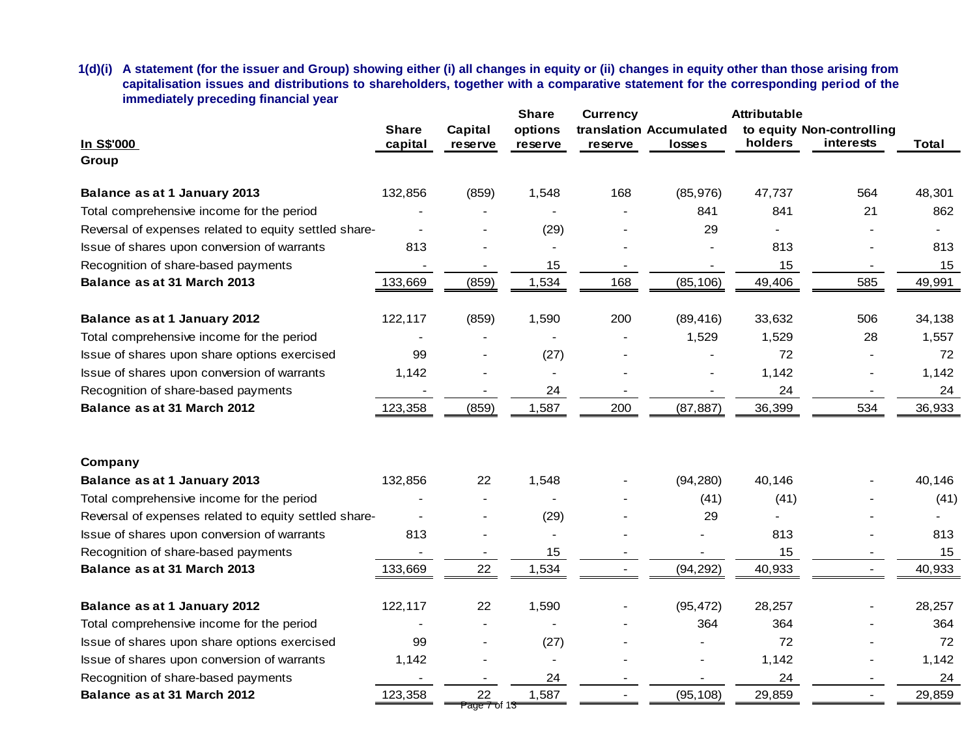**1(d)(i) A statement (for the issuer and Group) showing either (i) all changes in equity or (ii) changes in equity other than those arising from capitalisation issues and distributions to shareholders, together with a comparative statement for the corresponding period of the immediately preceding financial year**

| In S\$'000<br>Group                                   | <b>Share</b><br>capital | Capital<br>reserve                         | <b>Share</b><br>options<br>reserve | <b>Currency</b><br>reserve | translation Accumulated<br>losses | <b>Attributable</b><br>holders | to equity Non-controlling<br>interests | <b>Total</b> |
|-------------------------------------------------------|-------------------------|--------------------------------------------|------------------------------------|----------------------------|-----------------------------------|--------------------------------|----------------------------------------|--------------|
|                                                       |                         |                                            |                                    |                            |                                   |                                |                                        |              |
| Balance as at 1 January 2013                          | 132,856                 | (859)                                      | 1,548                              | 168                        | (85,976)                          | 47,737                         | 564                                    | 48,301       |
| Total comprehensive income for the period             |                         |                                            |                                    |                            | 841                               | 841                            | 21                                     | 862          |
| Reversal of expenses related to equity settled share- |                         |                                            | (29)                               |                            | 29                                |                                |                                        |              |
| Issue of shares upon conversion of warrants           | 813                     |                                            | $\blacksquare$                     |                            |                                   | 813                            |                                        | 813          |
| Recognition of share-based payments                   |                         |                                            | 15                                 |                            |                                   | 15                             |                                        | 15           |
| Balance as at 31 March 2013                           | 133,669                 | (859)                                      | 1,534                              | 168                        | (85, 106)                         | 49,406                         | 585                                    | 49,991       |
| Balance as at 1 January 2012                          | 122,117                 | (859)                                      | 1,590                              | 200                        | (89, 416)                         | 33,632                         | 506                                    | 34,138       |
| Total comprehensive income for the period             |                         |                                            |                                    |                            | 1,529                             | 1,529                          | 28                                     | 1,557        |
| Issue of shares upon share options exercised          | 99                      |                                            | (27)                               |                            |                                   | 72                             |                                        | 72           |
| Issue of shares upon conversion of warrants           | 1,142                   |                                            |                                    |                            |                                   | 1,142                          |                                        | 1,142        |
| Recognition of share-based payments                   |                         |                                            | 24                                 |                            |                                   | 24                             | $\overline{\phantom{a}}$               | 24           |
| Balance as at 31 March 2012                           | 123,358                 | (859)                                      | 1,587                              | 200                        | (87, 887)                         | 36,399                         | 534                                    | 36,933       |
| Company                                               |                         |                                            |                                    |                            |                                   |                                |                                        |              |
| Balance as at 1 January 2013                          | 132,856                 | 22                                         | 1,548                              |                            | (94, 280)                         | 40,146                         |                                        | 40,146       |
| Total comprehensive income for the period             |                         |                                            |                                    |                            | (41)                              | (41)                           |                                        | (41)         |
| Reversal of expenses related to equity settled share- | $\blacksquare$          | $\overline{\phantom{a}}$                   | (29)                               |                            | 29                                |                                |                                        |              |
| Issue of shares upon conversion of warrants           | 813                     | $\overline{\phantom{a}}$                   | $\blacksquare$                     |                            |                                   | 813                            |                                        | 813          |
| Recognition of share-based payments                   |                         |                                            | 15                                 |                            |                                   | 15                             |                                        | 15           |
| Balance as at 31 March 2013                           | 133,669                 | 22                                         | 1,534                              |                            | (94, 292)                         | 40,933                         |                                        | 40,933       |
| Balance as at 1 January 2012                          | 122,117                 | 22                                         | 1,590                              |                            | (95, 472)                         | 28,257                         |                                        | 28,257       |
| Total comprehensive income for the period             |                         |                                            |                                    |                            | 364                               | 364                            |                                        | 364          |
| Issue of shares upon share options exercised          | 99                      | $\overline{\phantom{0}}$                   | (27)                               |                            |                                   | 72                             |                                        | 72           |
| Issue of shares upon conversion of warrants           | 1,142                   |                                            |                                    |                            |                                   | 1,142                          |                                        | 1,142        |
| Recognition of share-based payments                   |                         |                                            | 24                                 |                            |                                   | 24                             | $\overline{\phantom{a}}$               | 24           |
| Balance as at 31 March 2012                           | 123,358                 | 22<br><del>Page 7 o</del> f 1 <del>3</del> | 1,587                              | $\overline{a}$             | (95, 108)                         | 29,859                         | $\blacksquare$                         | 29,859       |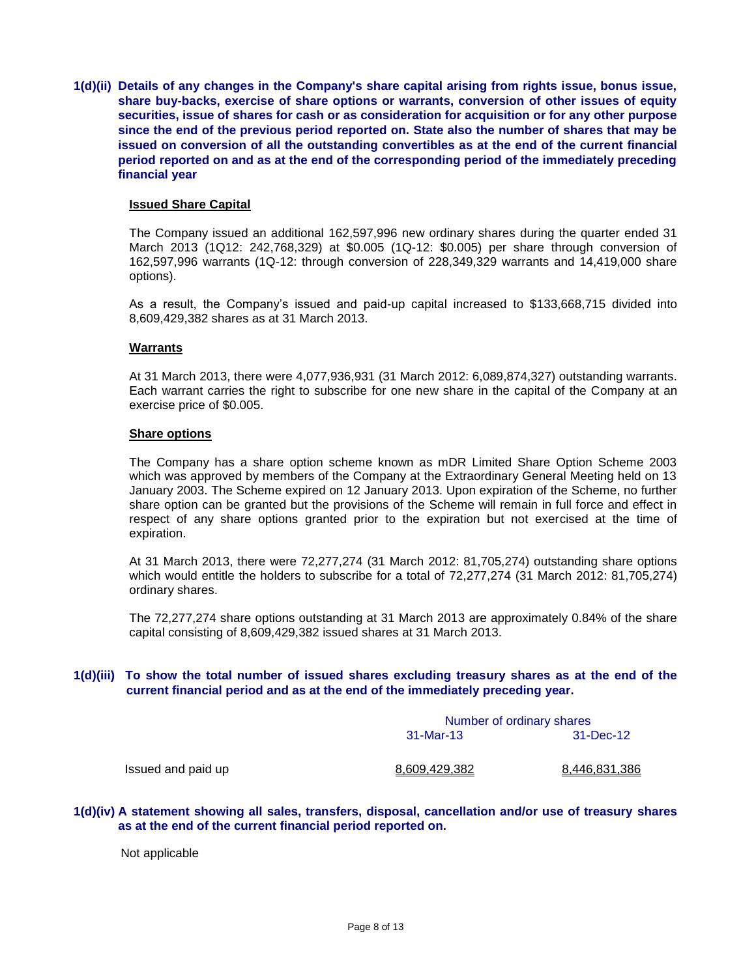**1(d)(ii) Details of any changes in the Company's share capital arising from rights issue, bonus issue, share buy-backs, exercise of share options or warrants, conversion of other issues of equity securities, issue of shares for cash or as consideration for acquisition or for any other purpose since the end of the previous period reported on. State also the number of shares that may be issued on conversion of all the outstanding convertibles as at the end of the current financial period reported on and as at the end of the corresponding period of the immediately preceding financial year**

#### **Issued Share Capital**

The Company issued an additional 162,597,996 new ordinary shares during the quarter ended 31 March 2013 (1Q12: 242,768,329) at \$0.005 (1Q-12: \$0.005) per share through conversion of 162,597,996 warrants (1Q-12: through conversion of 228,349,329 warrants and 14,419,000 share options).

As a result, the Company's issued and paid-up capital increased to \$133,668,715 divided into 8,609,429,382 shares as at 31 March 2013.

#### **Warrants**

At 31 March 2013, there were 4,077,936,931 (31 March 2012: 6,089,874,327) outstanding warrants. Each warrant carries the right to subscribe for one new share in the capital of the Company at an exercise price of \$0.005.

#### **Share options**

The Company has a share option scheme known as mDR Limited Share Option Scheme 2003 which was approved by members of the Company at the Extraordinary General Meeting held on 13 January 2003. The Scheme expired on 12 January 2013. Upon expiration of the Scheme, no further share option can be granted but the provisions of the Scheme will remain in full force and effect in respect of any share options granted prior to the expiration but not exercised at the time of expiration.

At 31 March 2013, there were 72,277,274 (31 March 2012: 81,705,274) outstanding share options which would entitle the holders to subscribe for a total of 72,277,274 (31 March 2012: 81,705,274) ordinary shares.

The 72,277,274 share options outstanding at 31 March 2013 are approximately 0.84% of the share capital consisting of 8,609,429,382 issued shares at 31 March 2013.

#### **1(d)(iii) To show the total number of issued shares excluding treasury shares as at the end of the current financial period and as at the end of the immediately preceding year.**

|                    |               | Number of ordinary shares |  |  |  |
|--------------------|---------------|---------------------------|--|--|--|
|                    | 31-Mar-13     | 31-Dec-12                 |  |  |  |
| Issued and paid up | 8,609,429,382 | 8,446,831,386             |  |  |  |

#### **1(d)(iv) A statement showing all sales, transfers, disposal, cancellation and/or use of treasury shares as at the end of the current financial period reported on.**

Not applicable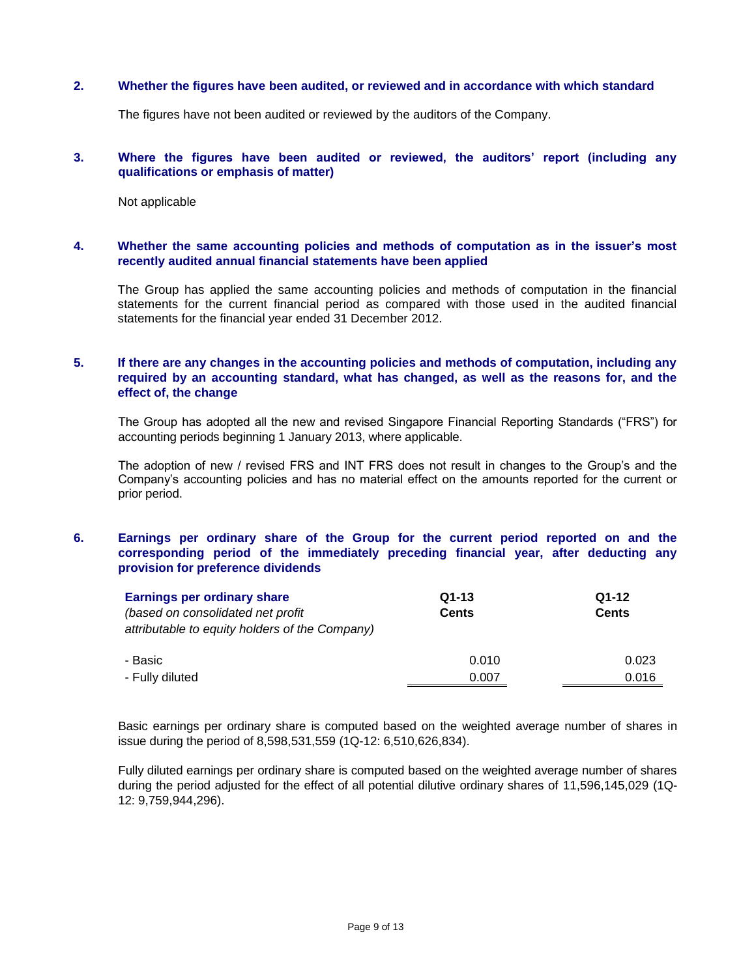### **2. Whether the figures have been audited, or reviewed and in accordance with which standard**

The figures have not been audited or reviewed by the auditors of the Company.

### **3. Where the figures have been audited or reviewed, the auditors' report (including any qualifications or emphasis of matter)**

Not applicable

### **4. Whether the same accounting policies and methods of computation as in the issuer's most recently audited annual financial statements have been applied**

The Group has applied the same accounting policies and methods of computation in the financial statements for the current financial period as compared with those used in the audited financial statements for the financial year ended 31 December 2012.

## **5. If there are any changes in the accounting policies and methods of computation, including any required by an accounting standard, what has changed, as well as the reasons for, and the effect of, the change**

The Group has adopted all the new and revised Singapore Financial Reporting Standards ("FRS") for accounting periods beginning 1 January 2013, where applicable.

The adoption of new / revised FRS and INT FRS does not result in changes to the Group's and the Company's accounting policies and has no material effect on the amounts reported for the current or prior period.

### **6. Earnings per ordinary share of the Group for the current period reported on and the corresponding period of the immediately preceding financial year, after deducting any provision for preference dividends**

| Earnings per ordinary share                    | $Q1-13$      | $Q1-12$      |
|------------------------------------------------|--------------|--------------|
| (based on consolidated net profit              | <b>Cents</b> | <b>Cents</b> |
| attributable to equity holders of the Company) |              |              |
| - Basic                                        | 0.010        | 0.023        |
| - Fully diluted                                | 0.007        | 0.016        |

Basic earnings per ordinary share is computed based on the weighted average number of shares in issue during the period of 8,598,531,559 (1Q-12: 6,510,626,834).

Fully diluted earnings per ordinary share is computed based on the weighted average number of shares during the period adjusted for the effect of all potential dilutive ordinary shares of 11,596,145,029 (1Q-12: 9,759,944,296).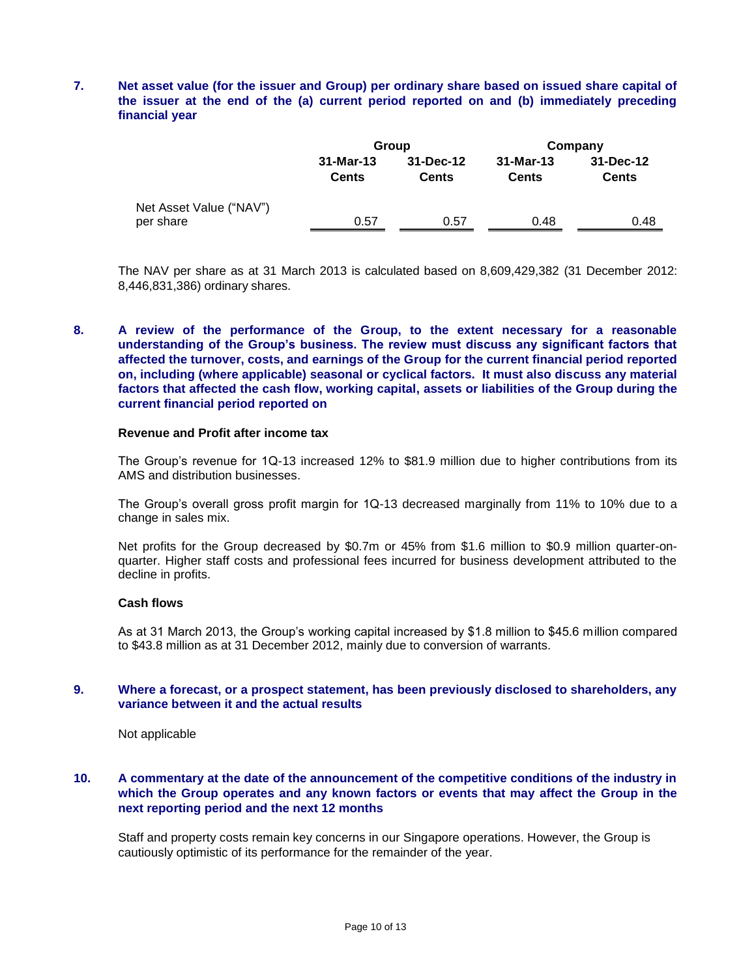# **7. Net asset value (for the issuer and Group) per ordinary share based on issued share capital of the issuer at the end of the (a) current period reported on and (b) immediately preceding financial year**

|                                      |                             | Group                     | Company                     |                               |  |
|--------------------------------------|-----------------------------|---------------------------|-----------------------------|-------------------------------|--|
|                                      | $31-Mar-13$<br><b>Cents</b> | 31-Dec-12<br><b>Cents</b> | $31-Mar-13$<br><b>Cents</b> | $31 - Dec-12$<br><b>Cents</b> |  |
| Net Asset Value ("NAV")<br>per share | 0.57                        | 0.57                      | 0.48                        | 0.48                          |  |

The NAV per share as at 31 March 2013 is calculated based on 8,609,429,382 (31 December 2012: 8,446,831,386) ordinary shares.

# **8. A review of the performance of the Group, to the extent necessary for a reasonable understanding of the Group's business. The review must discuss any significant factors that affected the turnover, costs, and earnings of the Group for the current financial period reported on, including (where applicable) seasonal or cyclical factors. It must also discuss any material factors that affected the cash flow, working capital, assets or liabilities of the Group during the current financial period reported on**

#### **Revenue and Profit after income tax**

The Group's revenue for 1Q-13 increased 12% to \$81.9 million due to higher contributions from its AMS and distribution businesses.

The Group's overall gross profit margin for 1Q-13 decreased marginally from 11% to 10% due to a change in sales mix.

Net profits for the Group decreased by \$0.7m or 45% from \$1.6 million to \$0.9 million quarter-onquarter. Higher staff costs and professional fees incurred for business development attributed to the decline in profits.

### **Cash flows**

As at 31 March 2013, the Group's working capital increased by \$1.8 million to \$45.6 million compared to \$43.8 million as at 31 December 2012, mainly due to conversion of warrants.

### **9. Where a forecast, or a prospect statement, has been previously disclosed to shareholders, any variance between it and the actual results**

Not applicable

# **10. A commentary at the date of the announcement of the competitive conditions of the industry in which the Group operates and any known factors or events that may affect the Group in the next reporting period and the next 12 months**

Staff and property costs remain key concerns in our Singapore operations. However, the Group is cautiously optimistic of its performance for the remainder of the year.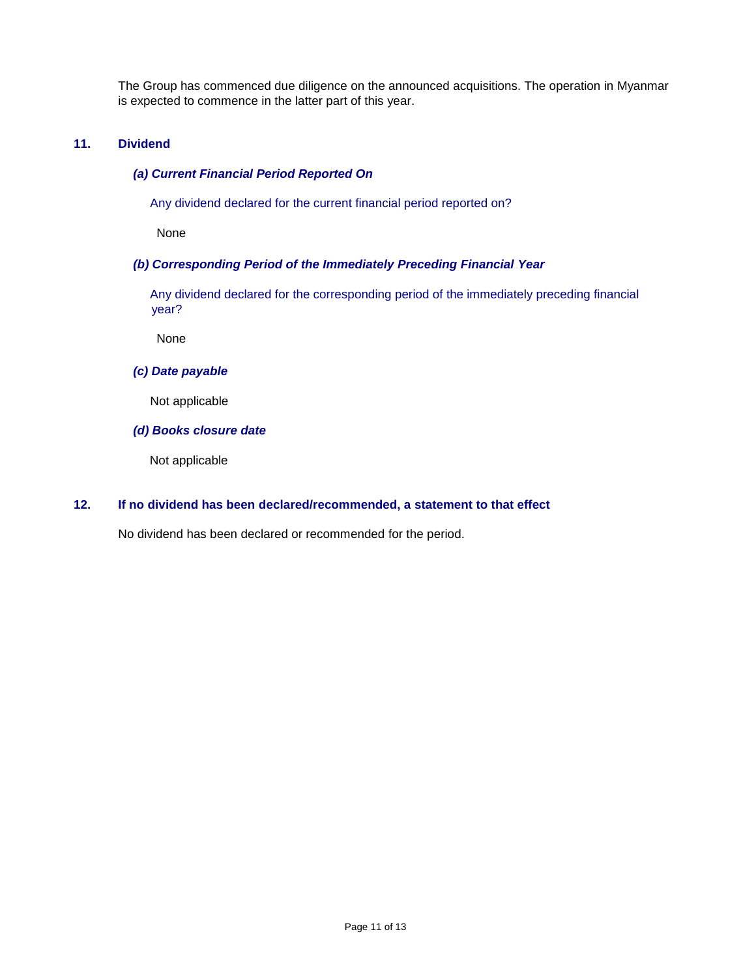The Group has commenced due diligence on the announced acquisitions. The operation in Myanmar is expected to commence in the latter part of this year.

# **11. Dividend**

### *(a) Current Financial Period Reported On*

Any dividend declared for the current financial period reported on?

None

### *(b) Corresponding Period of the Immediately Preceding Financial Year*

 Any dividend declared for the corresponding period of the immediately preceding financial year?

None

### *(c) Date payable*

Not applicable

## *(d) Books closure date*

Not applicable

# **12. If no dividend has been declared/recommended, a statement to that effect**

No dividend has been declared or recommended for the period.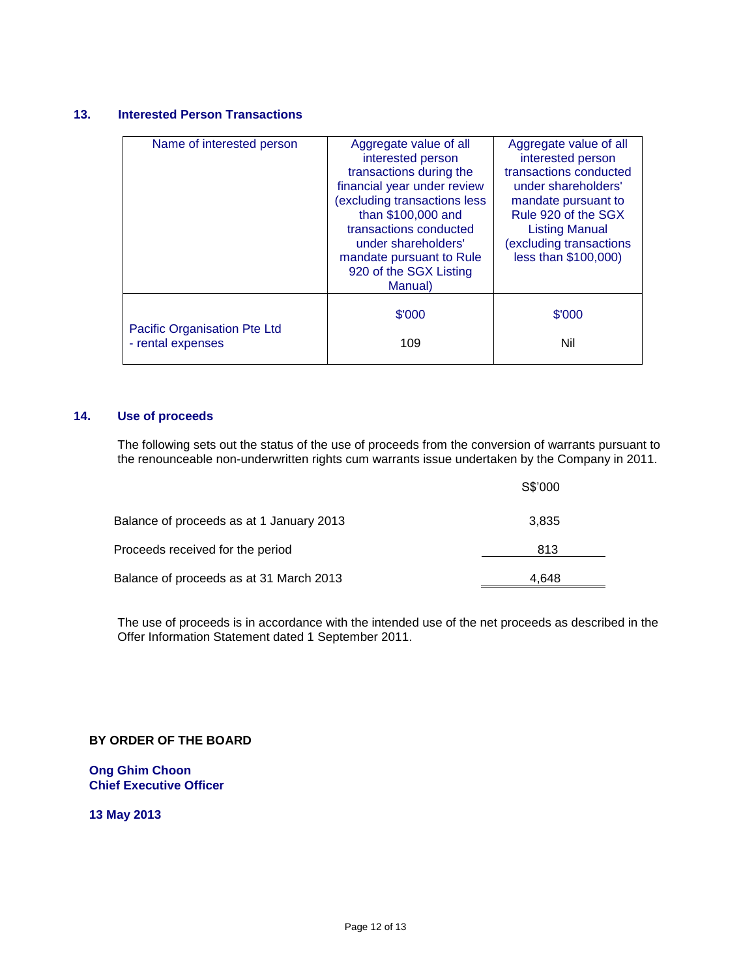# **13. Interested Person Transactions**

| Name of interested person    | Aggregate value of all       | Aggregate value of all |
|------------------------------|------------------------------|------------------------|
|                              | interested person            | interested person      |
|                              |                              |                        |
|                              | transactions during the      | transactions conducted |
|                              | financial year under review  | under shareholders'    |
|                              | (excluding transactions less | mandate pursuant to    |
|                              | than \$100,000 and           | Rule 920 of the SGX    |
|                              | transactions conducted       | <b>Listing Manual</b>  |
|                              | under shareholders'          | excluding transactions |
|                              | mandate pursuant to Rule     | less than \$100,000)   |
|                              |                              |                        |
|                              | 920 of the SGX Listing       |                        |
|                              | Manual)                      |                        |
|                              |                              |                        |
|                              | \$'000                       | \$'000                 |
| Pacific Organisation Pte Ltd |                              |                        |
| - rental expenses            | 109                          | Nil                    |
|                              |                              |                        |
|                              |                              |                        |

# **14. Use of proceeds**

The following sets out the status of the use of proceeds from the conversion of warrants pursuant to the renounceable non-underwritten rights cum warrants issue undertaken by the Company in 2011.

|                                          | S\$'000 |  |
|------------------------------------------|---------|--|
| Balance of proceeds as at 1 January 2013 | 3.835   |  |
| Proceeds received for the period         | 813     |  |
| Balance of proceeds as at 31 March 2013  | 4.648   |  |

The use of proceeds is in accordance with the intended use of the net proceeds as described in the Offer Information Statement dated 1 September 2011.

# **BY ORDER OF THE BOARD**

**Ong Ghim Choon Chief Executive Officer**

**13 May 2013**